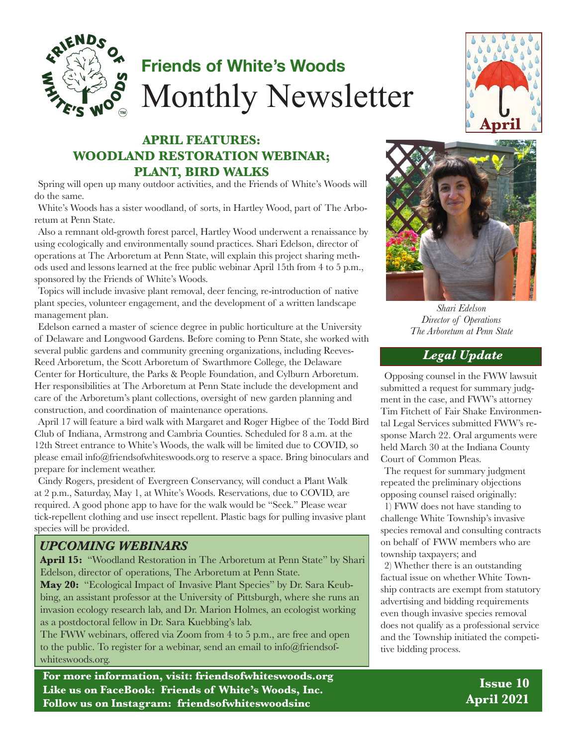

# **Friends of White's Woods** Monthly Newsletter

### **APRIL FEATURES: WOODLAND RESTORATION WEBINAR; PLANT, BIRD WALKS**

Spring will open up many outdoor activities, and the Friends of White's Woods will do the same.

White's Woods has a sister woodland, of sorts, in Hartley Wood, part of The Arboretum at Penn State.

Also a remnant old-growth forest parcel, Hartley Wood underwent a renaissance by using ecologically and environmentally sound practices. Shari Edelson, director of operations at The Arboretum at Penn State, will explain this project sharing methods used and lessons learned at the free public webinar April 15th from 4 to 5 p.m., sponsored by the Friends of White's Woods.

Topics will include invasive plant removal, deer fencing, re-introduction of native plant species, volunteer engagement, and the development of a written landscape management plan.

Edelson earned a master of science degree in public horticulture at the University of Delaware and Longwood Gardens. Before coming to Penn State, she worked with several public gardens and community greening organizations, including Reeves-Reed Arboretum, the Scott Arboretum of Swarthmore College, the Delaware Center for Horticulture, the Parks & People Foundation, and Cylburn Arboretum. Her responsibilities at The Arboretum at Penn State include the development and care of the Arboretum's plant collections, oversight of new garden planning and construction, and coordination of maintenance operations.

April 17 will feature a bird walk with Margaret and Roger Higbee of the Todd Bird Club of Indiana, Armstrong and Cambria Counties. Scheduled for 8 a.m. at the 12th Street entrance to White's Woods, the walk will be limited due to COVID, so please email info@friendsofwhiteswoods.org to reserve a space. Bring binoculars and prepare for inclement weather.

Cindy Rogers, president of Evergreen Conservancy, will conduct a Plant Walk at 2 p.m., Saturday, May 1, at White's Woods. Reservations, due to COVID, are required. A good phone app to have for the walk would be "Seek." Please wear tick-repellent clothing and use insect repellent. Plastic bags for pulling invasive plant species will be provided.

#### *UPCOMING WEBINARS*

**April 15:** "Woodland Restoration in The Arboretum at Penn State" by Shari Edelson, director of operations, The Arboretum at Penn State.

**May 20:** "Ecological Impact of Invasive Plant Species" by Dr. Sara Keubbing, an assistant professor at the University of Pittsburgh, where she runs an invasion ecology research lab, and Dr. Marion Holmes, an ecologist working as a postdoctoral fellow in Dr. Sara Kuebbing's lab.

The FWW webinars, offered via Zoom from 4 to 5 p.m., are free and open to the public. To register for a webinar, send an email to info@friendsofwhiteswoods.org.

**For more information, visit: friendsofwhiteswoods.org Like us on FaceBook: Friends of White's Woods, Inc. Follow us on Instagram: friendsofwhiteswoodsinc**





*Shari Edelson Director of Operations The Arboretum at Penn State*

#### *Legal Update*

Opposing counsel in the FWW lawsuit submitted a request for summary judgment in the case, and FWW's attorney Tim Fitchett of Fair Shake Environmental Legal Services submitted FWW's response March 22. Oral arguments were held March 30 at the Indiana County Court of Common Pleas.

The request for summary judgment repeated the preliminary objections opposing counsel raised originally:

1) FWW does not have standing to challenge White Township's invasive species removal and consulting contracts on behalf of FWW members who are township taxpayers; and

2) Whether there is an outstanding factual issue on whether White Township contracts are exempt from statutory advertising and bidding requirements even though invasive species removal does not qualify as a professional service and the Township initiated the competitive bidding process.

> **Issue 10 April 2021**